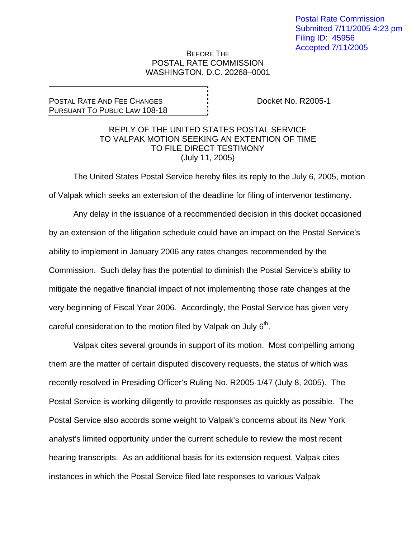## BEFORE THE POSTAL RATE COMMISSION WASHINGTON, D.C. 20268–0001

## POSTAL RATE AND FEE CHANGES PURSUANT TO PUBLIC LAW 108-18

Docket No. R2005-1

## REPLY OF THE UNITED STATES POSTAL SERVICE TO VALPAK MOTION SEEKING AN EXTENTION OF TIME TO FILE DIRECT TESTIMONY (July 11, 2005)

 The United States Postal Service hereby files its reply to the July 6, 2005, motion of Valpak which seeks an extension of the deadline for filing of intervenor testimony.

 Any delay in the issuance of a recommended decision in this docket occasioned by an extension of the litigation schedule could have an impact on the Postal Service's ability to implement in January 2006 any rates changes recommended by the Commission. Such delay has the potential to diminish the Postal Service's ability to mitigate the negative financial impact of not implementing those rate changes at the very beginning of Fiscal Year 2006. Accordingly, the Postal Service has given very careful consideration to the motion filed by Valpak on July  $6<sup>th</sup>$ .

Valpak cites several grounds in support of its motion. Most compelling among them are the matter of certain disputed discovery requests, the status of which was recently resolved in Presiding Officer's Ruling No. R2005-1/47 (July 8, 2005). The Postal Service is working diligently to provide responses as quickly as possible. The Postal Service also accords some weight to Valpak's concerns about its New York analyst's limited opportunity under the current schedule to review the most recent hearing transcripts. As an additional basis for its extension request, Valpak cites instances in which the Postal Service filed late responses to various Valpak